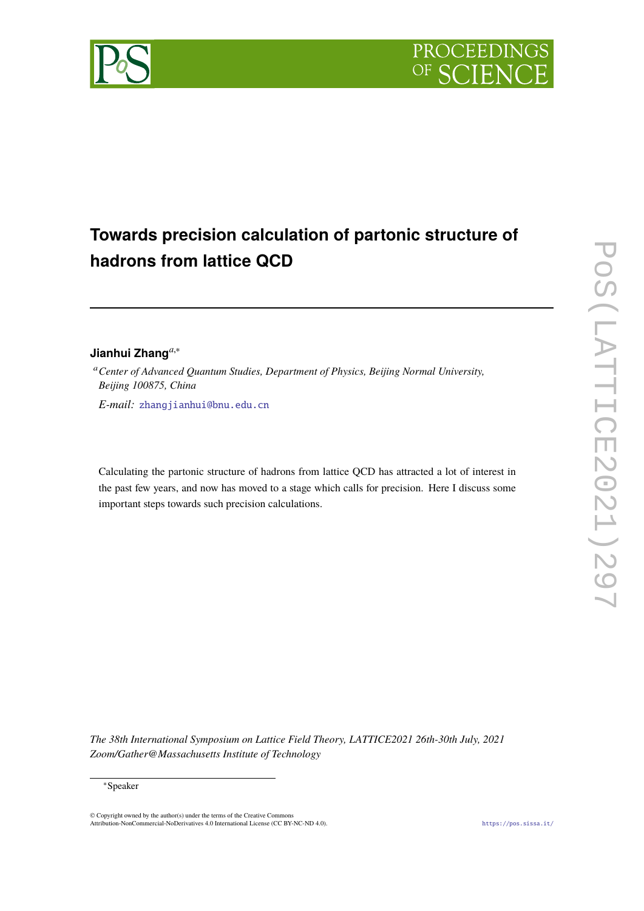

# **Towards precision calculation of partonic structure of hadrons from lattice QCD**

# **Jianhui Zhang***a*,<sup>∗</sup>

<sup>a</sup>*Center of Advanced Quantum Studies, Department of Physics, Beijing Normal University, Beijing 100875, China*

*E-mail:* [zhangjianhui@bnu.edu.cn](mailto:zhangjianhui@bnu.edu.cn)

Calculating the partonic structure of hadrons from lattice QCD has attracted a lot of interest in the past few years, and now has moved to a stage which calls for precision. Here I discuss some important steps towards such precision calculations.

*The 38th International Symposium on Lattice Field Theory, LATTICE2021 26th-30th July, 2021 Zoom/Gather@Massachusetts Institute of Technology*

#### <sup>∗</sup>Speaker

© Copyright owned by the author(s) under the terms of the Creative Commons Attribution-NonCommercial-NoDerivatives 4.0 International License (CC BY-NC-ND 4.0). <https://pos.sissa.it/>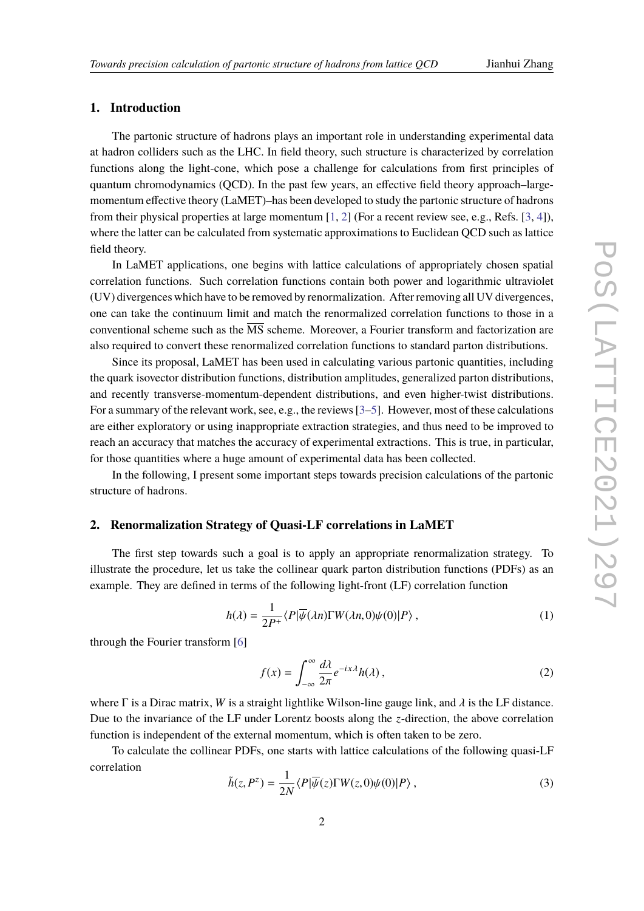## **1. Introduction**

The partonic structure of hadrons plays an important role in understanding experimental data at hadron colliders such as the LHC. In field theory, such structure is characterized by correlation functions along the light-cone, which pose a challenge for calculations from first principles of quantum chromodynamics (QCD). In the past few years, an effective field theory approach–largemomentum effective theory (LaMET)–has been developed to study the partonic structure of hadrons from their physical properties at large momentum [\[1,](#page-4-0) [2\]](#page-4-1) (For a recent review see, e.g., Refs. [\[3,](#page-4-2) [4\]](#page-5-0)), where the latter can be calculated from systematic approximations to Euclidean QCD such as lattice field theory.

In LaMET applications, one begins with lattice calculations of appropriately chosen spatial correlation functions. Such correlation functions contain both power and logarithmic ultraviolet (UV) divergences which have to be removed by renormalization. After removing all UV divergences, one can take the continuum limit and match the renormalized correlation functions to those in a conventional scheme such as the  $\overline{\text{MS}}$  scheme. Moreover, a Fourier transform and factorization are also required to convert these renormalized correlation functions to standard parton distributions.

Since its proposal, LaMET has been used in calculating various partonic quantities, including the quark isovector distribution functions, distribution amplitudes, generalized parton distributions, and recently transverse-momentum-dependent distributions, and even higher-twist distributions. For a summary of the relevant work, see, e.g., the reviews [\[3–](#page-4-2)[5\]](#page-5-1). However, most of these calculations are either exploratory or using inappropriate extraction strategies, and thus need to be improved to reach an accuracy that matches the accuracy of experimental extractions. This is true, in particular, for those quantities where a huge amount of experimental data has been collected.

In the following, I present some important steps towards precision calculations of the partonic structure of hadrons.

#### **2. Renormalization Strategy of Quasi-LF correlations in LaMET**

The first step towards such a goal is to apply an appropriate renormalization strategy. To illustrate the procedure, let us take the collinear quark parton distribution functions (PDFs) as an example. They are defined in terms of the following light-front (LF) correlation function

$$
h(\lambda) = \frac{1}{2P^+} \langle P | \overline{\psi}(\lambda n) \Gamma W(\lambda n, 0) \psi(0) | P \rangle , \qquad (1)
$$

through the Fourier transform [\[6\]](#page-5-2)

$$
f(x) = \int_{-\infty}^{\infty} \frac{d\lambda}{2\pi} e^{-ix\lambda} h(\lambda),
$$
 (2)

where  $\Gamma$  is a Dirac matrix, *W* is a straight lightlike Wilson-line gauge link, and  $\lambda$  is the LF distance. Due to the invariance of the LF under Lorentz boosts along the *z*-direction, the above correlation function is independent of the external momentum, which is often taken to be zero.

To calculate the collinear PDFs, one starts with lattice calculations of the following quasi-LF correlation

$$
\tilde{h}(z, P^z) = \frac{1}{2N} \langle P | \overline{\psi}(z) \Gamma W(z, 0) \psi(0) | P \rangle , \qquad (3)
$$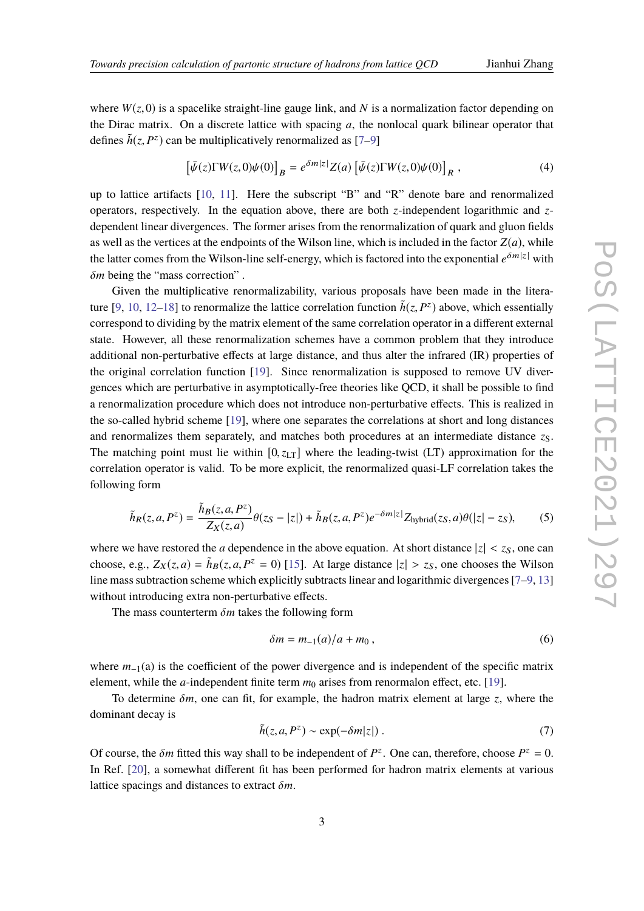where  $W(z, 0)$  is a spacelike straight-line gauge link, and N is a normalization factor depending on the Dirac matrix. On a discrete lattice with spacing *a*, the nonlocal quark bilinear operator that defines  $\tilde{h}(z, P^z)$  can be multiplicatively renormalized as [\[7](#page-5-3)[–9\]](#page-5-4)

$$
\left[\bar{\psi}(z)\Gamma W(z,0)\psi(0)\right]_B = e^{\delta m|z|}Z(a)\left[\bar{\psi}(z)\Gamma W(z,0)\psi(0)\right]_R,\tag{4}
$$

up to lattice artifacts [\[10,](#page-5-5) [11\]](#page-5-6). Here the subscript "B" and "R" denote bare and renormalized operators, respectively. In the equation above, there are both *z*-independent logarithmic and *z*dependent linear divergences. The former arises from the renormalization of quark and gluon fields as well as the vertices at the endpoints of the Wilson line, which is included in the factor  $Z(a)$ , while the latter comes from the Wilson-line self-energy, which is factored into the exponential  $e^{\delta m |z|}$  with δ*<sup>m</sup>* being the "mass correction" .

Given the multiplicative renormalizability, various proposals have been made in the litera-ture [\[9,](#page-5-4) [10,](#page-5-5) [12–](#page-5-7)[18\]](#page-5-8) to renormalize the lattice correlation function  $\tilde{h}(z, P^z)$  above, which essentially<br>correspond to dividing by the matrix element of the same correlation energies in a different external correspond to dividing by the matrix element of the same correlation operator in a different external state. However, all these renormalization schemes have a common problem that they introduce additional non-perturbative effects at large distance, and thus alter the infrared (IR) properties of the original correlation function [\[19\]](#page-5-9). Since renormalization is supposed to remove UV divergences which are perturbative in asymptotically-free theories like QCD, it shall be possible to find a renormalization procedure which does not introduce non-perturbative effects. This is realized in the so-called hybrid scheme [\[19\]](#page-5-9), where one separates the correlations at short and long distances and renormalizes them separately, and matches both procedures at an intermediate distance  $z<sub>S</sub>$ . The matching point must lie within  $[0, z_{LT}]$  where the leading-twist (LT) approximation for the correlation operator is valid. To be more explicit, the renormalized quasi-LF correlation takes the following form

$$
\tilde{h}_R(z, a, P^z) = \frac{\tilde{h}_B(z, a, P^z)}{Z_X(z, a)} \theta(z_S - |z|) + \tilde{h}_B(z, a, P^z) e^{-\delta m |z|} Z_{\text{hybrid}}(z_S, a) \theta(|z| - z_S),\tag{5}
$$

where we have restored the *a* dependence in the above equation. At short distance  $|z| < z<sub>S</sub>$ , one can choose, e.g.,  $Z_X(z, a) = \tilde{h}_B(z, a, P^z = 0)$  [\[15\]](#page-5-10). At large distance  $|z| > z_S$ , one chooses the Wilson<br>line mass subtraction scheme which suplicitly subtracts linear and localithmic diverse see [7, 0, 12] line mass subtraction scheme which explicitly subtracts linear and logarithmic divergences [\[7–](#page-5-3)[9,](#page-5-4) [13\]](#page-5-11) without introducing extra non-perturbative effects.

The mass counterterm δ*<sup>m</sup>* takes the following form

$$
\delta m = m_{-1}(a)/a + m_0, \qquad (6)
$$

where  $m_1$ (a) is the coefficient of the power divergence and is independent of the specific matrix element, while the *a*-independent finite term  $m_0$  arises from renormalon effect, etc. [\[19\]](#page-5-9).

To determine δ*m*, one can fit, for example, the hadron matrix element at large *<sup>z</sup>*, where the dominant decay is

$$
\tilde{h}(z, a, P^z) \sim \exp(-\delta m |z|) \,. \tag{7}
$$

Of course, the  $\delta m$  fitted this way shall to be independent of  $P^z$ . One can, therefore, choose  $P^z = 0$ .<br>In Ref. 5001, a sequentled different fit has been neglecular fit hadren matrix aluments of unique In Ref. [\[20\]](#page-5-12), a somewhat different fit has been performed for hadron matrix elements at various lattice spacings and distances to extract δ*m*.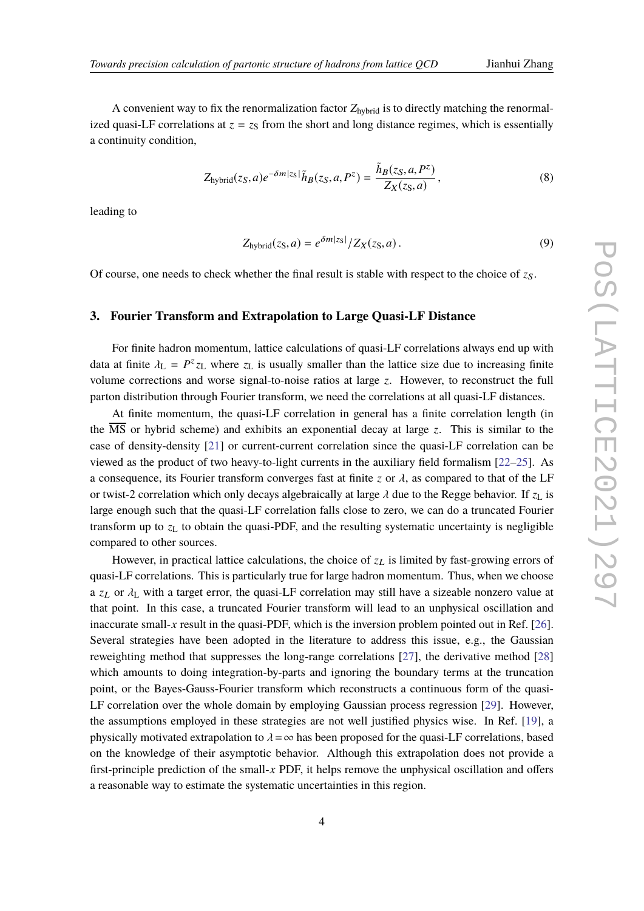A convenient way to fix the renormalization factor  $Z_{hybrid}$  is to directly matching the renormalized quasi-LF correlations at  $z = z<sub>S</sub>$  from the short and long distance regimes, which is essentially a continuity condition,

$$
Z_{\text{hybrid}}(z_S, a)e^{-\delta m|z_S|}\tilde{h}_B(z_S, a, P^z) = \frac{\tilde{h}_B(z_S, a, P^z)}{Z_X(z_S, a)},
$$
\n(8)

leading to

$$
Z_{\text{hybrid}}(z_S, a) = e^{\delta m |z_S|} / Z_X(z_S, a).
$$
\n(9)

Of course, one needs to check whether the final result is stable with respect to the choice of  $z<sub>S</sub>$ .

### **3. Fourier Transform and Extrapolation to Large Quasi-LF Distance**

For finite hadron momentum, lattice calculations of quasi-LF correlations always end up with data at finite  $\lambda_L = P^z z_L$  where  $z_L$  is usually smaller than the lattice size due to increasing finite<br>volume corrections and ware circulate poise ratios at large  $\tau$ . However, to reconstruct the full volume corrections and worse signal-to-noise ratios at large *z*. However, to reconstruct the full parton distribution through Fourier transform, we need the correlations at all quasi-LF distances.

At finite momentum, the quasi-LF correlation in general has a finite correlation length (in the MS or hybrid scheme) and exhibits an exponential decay at large *z*. This is similar to the case of density-density [\[21\]](#page-5-13) or current-current correlation since the quasi-LF correlation can be viewed as the product of two heavy-to-light currents in the auxiliary field formalism [\[22](#page-5-14)[–25\]](#page-6-0). As a consequence, its Fourier transform converges fast at finite *z* or  $\lambda$ , as compared to that of the LF or twist-2 correlation which only decays algebraically at large  $\lambda$  due to the Regge behavior. If  $z<sub>L</sub>$  is large enough such that the quasi-LF correlation falls close to zero, we can do a truncated Fourier transform up to  $z<sub>L</sub>$  to obtain the quasi-PDF, and the resulting systematic uncertainty is negligible compared to other sources.

However, in practical lattice calculations, the choice of  $z_L$  is limited by fast-growing errors of quasi-LF correlations. This is particularly true for large hadron momentum. Thus, when we choose a  $z_L$  or  $\lambda_L$  with a target error, the quasi-LF correlation may still have a sizeable nonzero value at that point. In this case, a truncated Fourier transform will lead to an unphysical oscillation and inaccurate small- $x$  result in the quasi-PDF, which is the inversion problem pointed out in Ref. [\[26\]](#page-6-1). Several strategies have been adopted in the literature to address this issue, e.g., the Gaussian reweighting method that suppresses the long-range correlations [\[27\]](#page-6-2), the derivative method [\[28\]](#page-6-3) which amounts to doing integration-by-parts and ignoring the boundary terms at the truncation point, or the Bayes-Gauss-Fourier transform which reconstructs a continuous form of the quasi-LF correlation over the whole domain by employing Gaussian process regression [\[29\]](#page-6-4). However, the assumptions employed in these strategies are not well justified physics wise. In Ref. [\[19\]](#page-5-9), a physically motivated extrapolation to  $\lambda = \infty$  has been proposed for the quasi-LF correlations, based on the knowledge of their asymptotic behavior. Although this extrapolation does not provide a first-principle prediction of the small-*x* PDF, it helps remove the unphysical oscillation and offers a reasonable way to estimate the systematic uncertainties in this region.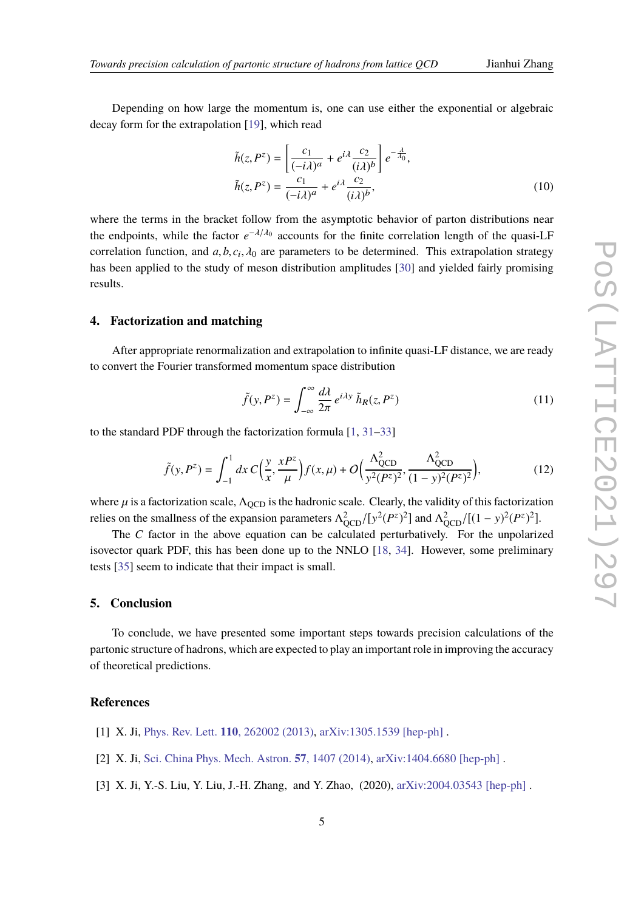Depending on how large the momentum is, one can use either the exponential or algebraic decay form for the extrapolation [\[19\]](#page-5-9), which read

$$
\tilde{h}(z, P^z) = \left[\frac{c_1}{(-i\lambda)^a} + e^{i\lambda} \frac{c_2}{(i\lambda)^b}\right] e^{-\frac{\lambda}{\lambda_0}},
$$
\n
$$
\tilde{h}(z, P^z) = \frac{c_1}{(-i\lambda)^a} + e^{i\lambda} \frac{c_2}{(i\lambda)^b},
$$
\n(10)

where the terms in the bracket follow from the asymptotic behavior of parton distributions near the endpoints, while the factor  $e^{-\lambda/\lambda_0}$  accounts for the finite correlation length of the quasi-LF correlation function, and  $a, b, c_i, \lambda_0$  are parameters to be determined. This extrapolation strategy has been applied to the study of meson distribution amplitudes [\[30\]](#page-6-5) and yielded fairly promising results.

### **4. Factorization and matching**

After appropriate renormalization and extrapolation to infinite quasi-LF distance, we are ready to convert the Fourier transformed momentum space distribution

$$
\tilde{f}(y, P^z) = \int_{-\infty}^{\infty} \frac{d\lambda}{2\pi} e^{i\lambda y} \tilde{h}_R(z, P^z)
$$
\n(11)

to the standard PDF through the factorization formula [\[1,](#page-4-0) [31](#page-6-6)[–33\]](#page-6-7)

$$
\tilde{f}(y, P^z) = \int_{-1}^{1} dx \, C\Big(\frac{y}{x}, \frac{xP^z}{\mu}\Big) f(x, \mu) + O\Big(\frac{\Lambda_{QCD}^2}{y^2 (P^z)^2}, \frac{\Lambda_{QCD}^2}{(1 - y)^2 (P^z)^2}\Big),\tag{12}
$$

where  $\mu$  is a factorization scale,  $\Lambda_{\text{QCD}}$  is the hadronic scale. Clearly, the validity of this factorization relies on the smallness of the expansion parameters  $\Lambda_{\text{QCD}}^2/[y^2(P^z)^2]$  and  $\Lambda_{\text{QCD}}^2/[ (1 - y)^2(P^z)^2]$ .

The *C* factor in the above equation can be calculated perturbatively. For the unpolarized isovector quark PDF, this has been done up to the NNLO [\[18,](#page-5-8) [34\]](#page-6-8). However, some preliminary tests [\[35\]](#page-6-9) seem to indicate that their impact is small.

#### **5. Conclusion**

To conclude, we have presented some important steps towards precision calculations of the partonic structure of hadrons, which are expected to play an important role in improving the accuracy of theoretical predictions.

### **References**

- <span id="page-4-0"></span>[1] X. Ji, Phys. Rev. Lett. **110**[, 262002 \(2013\),](http://dx.doi.org/10.1103/PhysRevLett.110.262002) [arXiv:1305.1539 \[hep-ph\]](http://arxiv.org/abs/1305.1539) .
- <span id="page-4-1"></span>[2] X. Ji, [Sci. China Phys. Mech. Astron.](http://dx.doi.org/10.1007/s11433-014-5492-3) **57**, 1407 (2014), [arXiv:1404.6680 \[hep-ph\]](http://arxiv.org/abs/1404.6680) .
- <span id="page-4-2"></span>[3] X. Ji, Y.-S. Liu, Y. Liu, J.-H. Zhang, and Y. Zhao, (2020), [arXiv:2004.03543 \[hep-ph\]](http://arxiv.org/abs/2004.03543).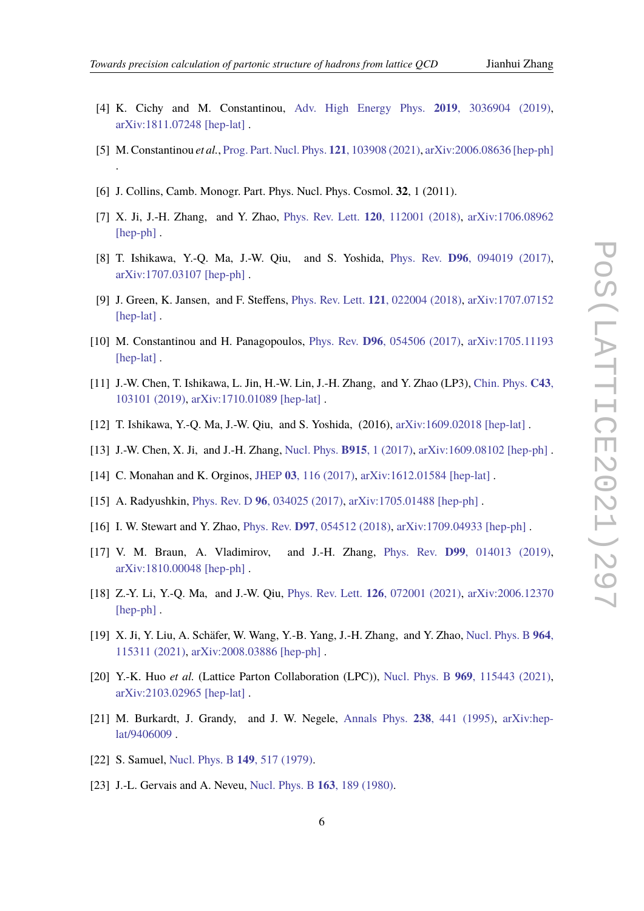- <span id="page-5-0"></span>[4] K. Cichy and M. Constantinou, [Adv. High Energy Phys.](http://dx.doi.org/10.1155/2019/3036904) **2019**, 3036904 (2019), [arXiv:1811.07248 \[hep-lat\]](http://arxiv.org/abs/1811.07248) .
- <span id="page-5-1"></span>[5] M. Constantinou *et al.*, [Prog. Part. Nucl. Phys.](http://dx.doi.org/10.1016/j.ppnp.2021.103908) **121**, 103908 (2021), [arXiv:2006.08636 \[hep-ph\]](http://arxiv.org/abs/2006.08636) .
- <span id="page-5-2"></span>[6] J. Collins, Camb. Monogr. Part. Phys. Nucl. Phys. Cosmol. **32**, 1 (2011).
- <span id="page-5-3"></span>[7] X. Ji, J.-H. Zhang, and Y. Zhao, Phys. Rev. Lett. **120**[, 112001 \(2018\),](http://dx.doi.org/10.1103/PhysRevLett.120.112001) [arXiv:1706.08962](http://arxiv.org/abs/1706.08962) [\[hep-ph\]](http://arxiv.org/abs/1706.08962).
- [8] T. Ishikawa, Y.-Q. Ma, J.-W. Qiu, and S. Yoshida, Phys. Rev. **D96**[, 094019 \(2017\),](http://dx.doi.org/10.1103/PhysRevD.96.094019) [arXiv:1707.03107 \[hep-ph\]](http://arxiv.org/abs/1707.03107) .
- <span id="page-5-4"></span>[9] J. Green, K. Jansen, and F. Steffens, Phys. Rev. Lett. **121**[, 022004 \(2018\),](http://dx.doi.org/10.1103/PhysRevLett.121.022004) [arXiv:1707.07152](http://arxiv.org/abs/1707.07152) [\[hep-lat\]](http://arxiv.org/abs/1707.07152).
- <span id="page-5-5"></span>[10] M. Constantinou and H. Panagopoulos, Phys. Rev. **D96**[, 054506 \(2017\),](http://dx.doi.org/10.1103/PhysRevD.96.054506) [arXiv:1705.11193](http://arxiv.org/abs/1705.11193) [\[hep-lat\]](http://arxiv.org/abs/1705.11193).
- <span id="page-5-6"></span>[11] J.-W. Chen, T. Ishikawa, L. Jin, H.-W. Lin, J.-H. Zhang, and Y. Zhao (LP3), [Chin. Phys.](http://dx.doi.org/ 10.1088/1674-1137/43/10/103101) **C43**, [103101 \(2019\),](http://dx.doi.org/ 10.1088/1674-1137/43/10/103101) [arXiv:1710.01089 \[hep-lat\]](http://arxiv.org/abs/1710.01089) .
- <span id="page-5-7"></span>[12] T. Ishikawa, Y.-Q. Ma, J.-W. Qiu, and S. Yoshida, (2016), [arXiv:1609.02018 \[hep-lat\]](http://arxiv.org/abs/1609.02018) .
- <span id="page-5-11"></span>[13] J.-W. Chen, X. Ji, and J.-H. Zhang, [Nucl. Phys.](http://dx.doi.org/10.1016/j.nuclphysb.2016.12.004) **B915**, 1 (2017), [arXiv:1609.08102 \[hep-ph\]](http://arxiv.org/abs/1609.08102) .
- [14] C. Monahan and K. Orginos, JHEP **03**[, 116 \(2017\),](http://dx.doi.org/10.1007/JHEP03(2017)116) [arXiv:1612.01584 \[hep-lat\]](http://arxiv.org/abs/1612.01584) .
- <span id="page-5-10"></span>[15] A. Radyushkin, Phys. Rev. D **96**[, 034025 \(2017\),](http://dx.doi.org/10.1103/PhysRevD.96.034025) [arXiv:1705.01488 \[hep-ph\]](http://arxiv.org/abs/1705.01488) .
- [16] I. W. Stewart and Y. Zhao, Phys. Rev. **D97**[, 054512 \(2018\),](http://dx.doi.org/10.1103/PhysRevD.97.054512) [arXiv:1709.04933 \[hep-ph\]](http://arxiv.org/abs/1709.04933) .
- [17] V. M. Braun, A. Vladimirov, and J.-H. Zhang, Phys. Rev. **D99**[, 014013 \(2019\),](http://dx.doi.org/10.1103/PhysRevD.99.014013) [arXiv:1810.00048 \[hep-ph\]](http://arxiv.org/abs/1810.00048) .
- <span id="page-5-8"></span>[18] Z.-Y. Li, Y.-Q. Ma, and J.-W. Qiu, Phys. Rev. Lett. **126**[, 072001 \(2021\),](http://dx.doi.org/10.1103/PhysRevLett.126.072001) [arXiv:2006.12370](http://arxiv.org/abs/2006.12370) [\[hep-ph\]](http://arxiv.org/abs/2006.12370).
- <span id="page-5-9"></span>[19] X. Ji, Y. Liu, A. Schäfer, W. Wang, Y.-B. Yang, J.-H. Zhang, and Y. Zhao, [Nucl. Phys. B](http://dx.doi.org/10.1016/j.nuclphysb.2021.115311) **964**, [115311 \(2021\),](http://dx.doi.org/10.1016/j.nuclphysb.2021.115311) [arXiv:2008.03886 \[hep-ph\]](http://arxiv.org/abs/2008.03886) .
- <span id="page-5-12"></span>[20] Y.-K. Huo *et al.* (Lattice Parton Collaboration (LPC)), Nucl. Phys. B **969**[, 115443 \(2021\),](http://dx.doi.org/10.1016/j.nuclphysb.2021.115443) [arXiv:2103.02965 \[hep-lat\]](http://arxiv.org/abs/2103.02965) .
- <span id="page-5-13"></span>[21] M. Burkardt, J. Grandy, and J. W. Negele, [Annals Phys.](http://dx.doi.org/10.1006/aphy.1995.1026) **238**, 441 (1995), [arXiv:hep](http://arxiv.org/abs/hep-lat/9406009)[lat/9406009](http://arxiv.org/abs/hep-lat/9406009) .
- <span id="page-5-14"></span>[22] S. Samuel, [Nucl. Phys. B](http://dx.doi.org/10.1016/0550-3213(79)90005-1) **149**, 517 (1979).
- [23] J.-L. Gervais and A. Neveu, [Nucl. Phys. B](http://dx.doi.org/10.1016/0550-3213(80)90397-1) **163**, 189 (1980).